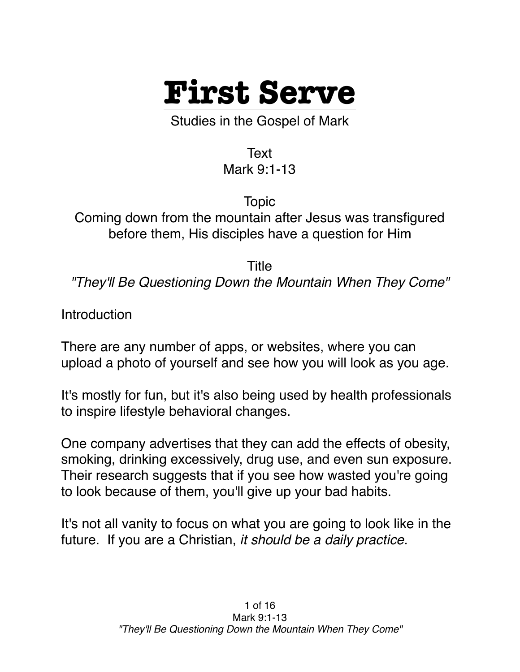

Studies in the Gospel of Mark

Text Mark 9:1-13

Topic Coming down from the mountain after Jesus was transfigured before them, His disciples have a question for Him

Title

*"They'll Be Questioning Down the Mountain When They Come"*

Introduction

There are any number of apps, or websites, where you can upload a photo of yourself and see how you will look as you age.

It's mostly for fun, but it's also being used by health professionals to inspire lifestyle behavioral changes.

One company advertises that they can add the effects of obesity, smoking, drinking excessively, drug use, and even sun exposure. Their research suggests that if you see how wasted you're going to look because of them, you'll give up your bad habits.

It's not all vanity to focus on what you are going to look like in the future. If you are a Christian, *it should be a daily practice.*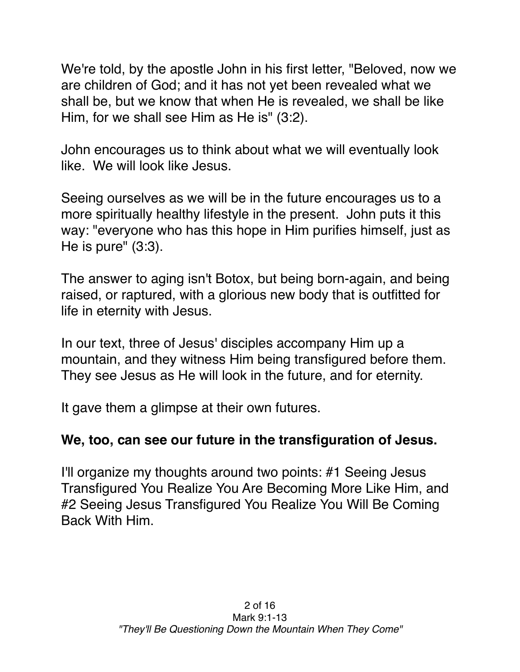We're told, by the apostle John in his first letter, "Beloved, now we are children of God; and it has not yet been revealed what we shall be, but we know that when He is revealed, we shall be like Him, for we shall see Him as He is" (3:2).

John encourages us to think about what we will eventually look like. We will look like Jesus.

Seeing ourselves as we will be in the future encourages us to a more spiritually healthy lifestyle in the present. John puts it this way: "everyone who has this hope in Him purifies himself, just as He is pure" (3:3).

The answer to aging isn't Botox, but being born-again, and being raised, or raptured, with a glorious new body that is outfitted for life in eternity with Jesus.

In our text, three of Jesus' disciples accompany Him up a mountain, and they witness Him being transfigured before them. They see Jesus as He will look in the future, and for eternity.

It gave them a glimpse at their own futures.

## **We, too, can see our future in the transfiguration of Jesus.**

I'll organize my thoughts around two points: #1 Seeing Jesus Transfigured You Realize You Are Becoming More Like Him, and #2 Seeing Jesus Transfigured You Realize You Will Be Coming Back With Him.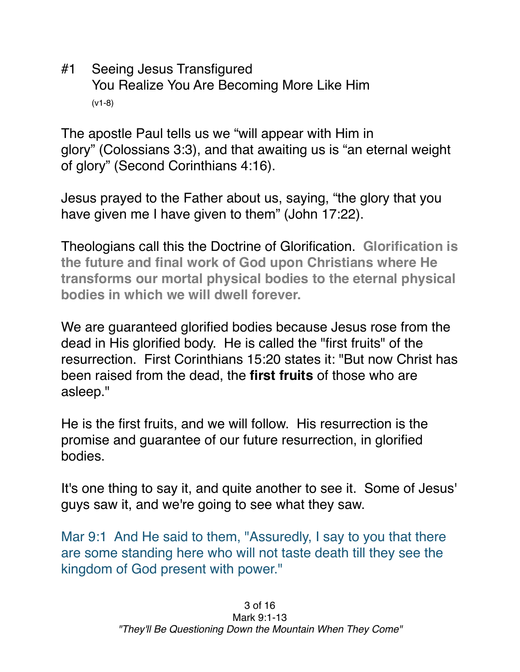#1 Seeing Jesus Transfigured You Realize You Are Becoming More Like Him (v1-8)

The apostle Paul tells us we "will appear with Him in glory" (Colossians 3:3), and that awaiting us is "an eternal weight of glory" (Second Corinthians 4:16).

Jesus prayed to the Father about us, saying, "the glory that you have given me I have given to them" (John 17:22).

Theologians call this the Doctrine of Glorification. **Glorification is the future and final work of God upon Christians where He transforms our mortal physical bodies to the eternal physical bodies in which we will dwell forever.**

We are guaranteed glorified bodies because Jesus rose from the dead in His glorified body. He is called the "first fruits" of the resurrection. First Corinthians 15:20 states it: "But now Christ has been raised from the dead, the **first fruits** of those who are asleep."

He is the first fruits, and we will follow. His resurrection is the promise and guarantee of our future resurrection, in glorified bodies.

It's one thing to say it, and quite another to see it. Some of Jesus' guys saw it, and we're going to see what they saw.

Mar 9:1 And He said to them, "Assuredly, I say to you that there are some standing here who will not taste death till they see the kingdom of God present with power."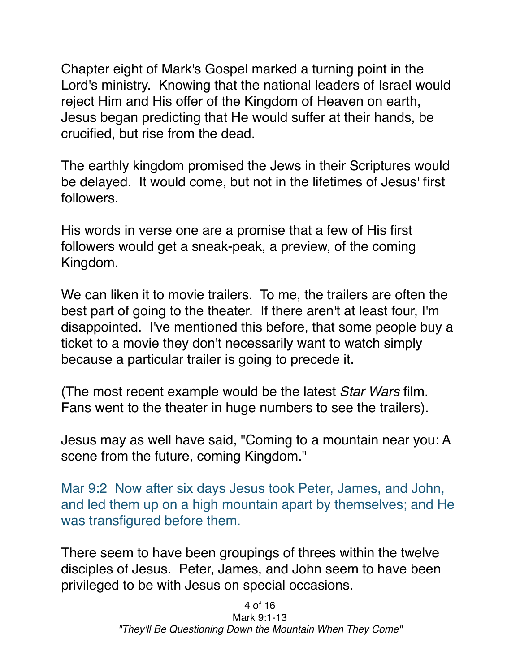Chapter eight of Mark's Gospel marked a turning point in the Lord's ministry. Knowing that the national leaders of Israel would reject Him and His offer of the Kingdom of Heaven on earth, Jesus began predicting that He would suffer at their hands, be crucified, but rise from the dead.

The earthly kingdom promised the Jews in their Scriptures would be delayed. It would come, but not in the lifetimes of Jesus' first followers.

His words in verse one are a promise that a few of His first followers would get a sneak-peak, a preview, of the coming Kingdom.

We can liken it to movie trailers. To me, the trailers are often the best part of going to the theater. If there aren't at least four, I'm disappointed. I've mentioned this before, that some people buy a ticket to a movie they don't necessarily want to watch simply because a particular trailer is going to precede it.

(The most recent example would be the latest *Star Wars* film. Fans went to the theater in huge numbers to see the trailers).

Jesus may as well have said, "Coming to a mountain near you: A scene from the future, coming Kingdom."

Mar 9:2 Now after six days Jesus took Peter, James, and John, and led them up on a high mountain apart by themselves; and He was transfigured before them.

There seem to have been groupings of threes within the twelve disciples of Jesus. Peter, James, and John seem to have been privileged to be with Jesus on special occasions.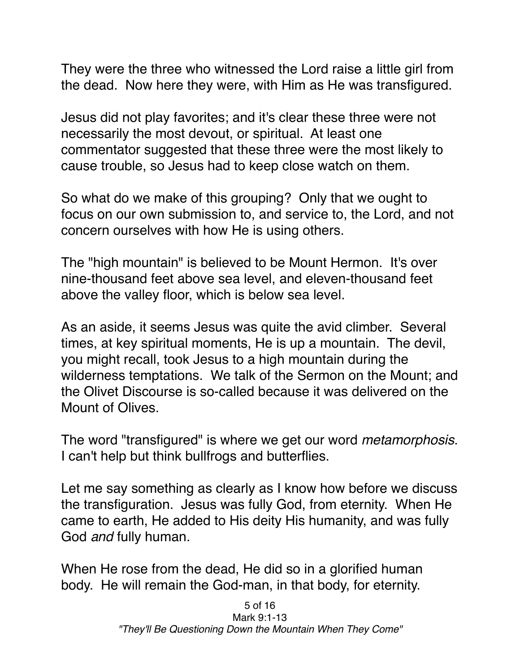They were the three who witnessed the Lord raise a little girl from the dead. Now here they were, with Him as He was transfigured.

Jesus did not play favorites; and it's clear these three were not necessarily the most devout, or spiritual. At least one commentator suggested that these three were the most likely to cause trouble, so Jesus had to keep close watch on them.

So what do we make of this grouping? Only that we ought to focus on our own submission to, and service to, the Lord, and not concern ourselves with how He is using others.

The "high mountain" is believed to be Mount Hermon. It's over nine-thousand feet above sea level, and eleven-thousand feet above the valley floor, which is below sea level.

As an aside, it seems Jesus was quite the avid climber. Several times, at key spiritual moments, He is up a mountain. The devil, you might recall, took Jesus to a high mountain during the wilderness temptations. We talk of the Sermon on the Mount; and the Olivet Discourse is so-called because it was delivered on the Mount of Olives.

The word "transfigured" is where we get our word *metamorphosis*. I can't help but think bullfrogs and butterflies.

Let me say something as clearly as I know how before we discuss the transfiguration. Jesus was fully God, from eternity. When He came to earth, He added to His deity His humanity, and was fully God *and* fully human.

When He rose from the dead, He did so in a glorified human body. He will remain the God-man, in that body, for eternity.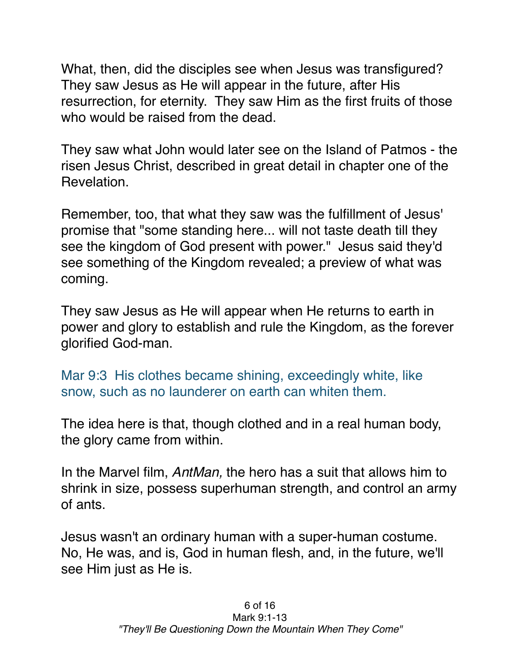What, then, did the disciples see when Jesus was transfigured? They saw Jesus as He will appear in the future, after His resurrection, for eternity. They saw Him as the first fruits of those who would be raised from the dead.

They saw what John would later see on the Island of Patmos - the risen Jesus Christ, described in great detail in chapter one of the Revelation.

Remember, too, that what they saw was the fulfillment of Jesus' promise that "some standing here... will not taste death till they see the kingdom of God present with power." Jesus said they'd see something of the Kingdom revealed; a preview of what was coming.

They saw Jesus as He will appear when He returns to earth in power and glory to establish and rule the Kingdom, as the forever glorified God-man.

Mar 9:3 His clothes became shining, exceedingly white, like snow, such as no launderer on earth can whiten them.

The idea here is that, though clothed and in a real human body, the glory came from within.

In the Marvel film, *AntMan,* the hero has a suit that allows him to shrink in size, possess superhuman strength, and control an army of ants.

Jesus wasn't an ordinary human with a super-human costume. No, He was, and is, God in human flesh, and, in the future, we'll see Him just as He is.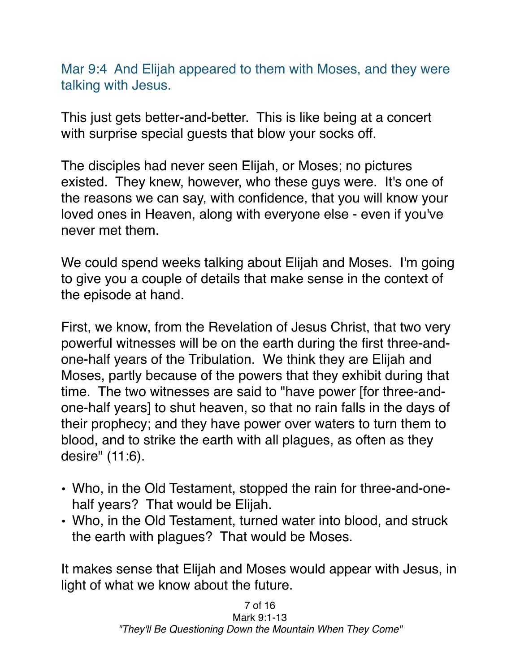Mar 9:4 And Elijah appeared to them with Moses, and they were talking with Jesus.

This just gets better-and-better. This is like being at a concert with surprise special guests that blow your socks off.

The disciples had never seen Elijah, or Moses; no pictures existed. They knew, however, who these guys were. It's one of the reasons we can say, with confidence, that you will know your loved ones in Heaven, along with everyone else - even if you've never met them.

We could spend weeks talking about Elijah and Moses. I'm going to give you a couple of details that make sense in the context of the episode at hand.

First, we know, from the Revelation of Jesus Christ, that two very powerful witnesses will be on the earth during the first three-andone-half years of the Tribulation. We think they are Elijah and Moses, partly because of the powers that they exhibit during that time. The two witnesses are said to "have power [for three-andone-half years] to shut heaven, so that no rain falls in the days of their prophecy; and they have power over waters to turn them to blood, and to strike the earth with all plagues, as often as they desire" (11:6).

- Who, in the Old Testament, stopped the rain for three-and-onehalf years? That would be Elijah.
- Who, in the Old Testament, turned water into blood, and struck the earth with plagues? That would be Moses.

It makes sense that Elijah and Moses would appear with Jesus, in light of what we know about the future.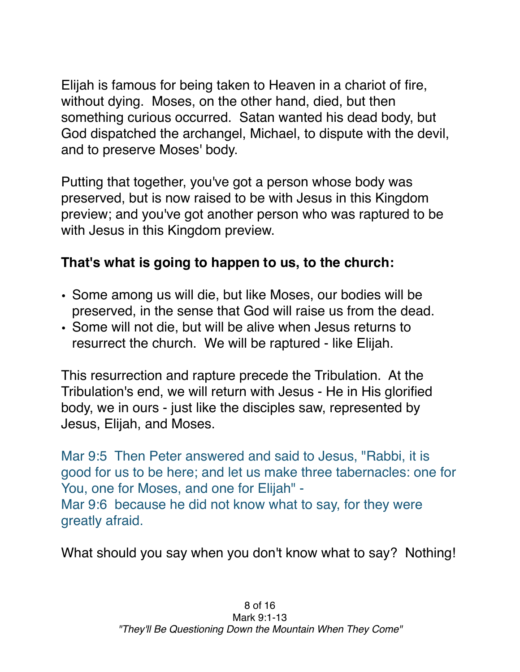Elijah is famous for being taken to Heaven in a chariot of fire, without dying. Moses, on the other hand, died, but then something curious occurred. Satan wanted his dead body, but God dispatched the archangel, Michael, to dispute with the devil, and to preserve Moses' body.

Putting that together, you've got a person whose body was preserved, but is now raised to be with Jesus in this Kingdom preview; and you've got another person who was raptured to be with Jesus in this Kingdom preview.

## **That's what is going to happen to us, to the church:**

- Some among us will die, but like Moses, our bodies will be preserved, in the sense that God will raise us from the dead.
- Some will not die, but will be alive when Jesus returns to resurrect the church. We will be raptured - like Elijah.

This resurrection and rapture precede the Tribulation. At the Tribulation's end, we will return with Jesus - He in His glorified body, we in ours - just like the disciples saw, represented by Jesus, Elijah, and Moses.

Mar 9:5 Then Peter answered and said to Jesus, "Rabbi, it is good for us to be here; and let us make three tabernacles: one for You, one for Moses, and one for Elijah" - Mar 9:6 because he did not know what to say, for they were greatly afraid.

What should you say when you don't know what to say? Nothing!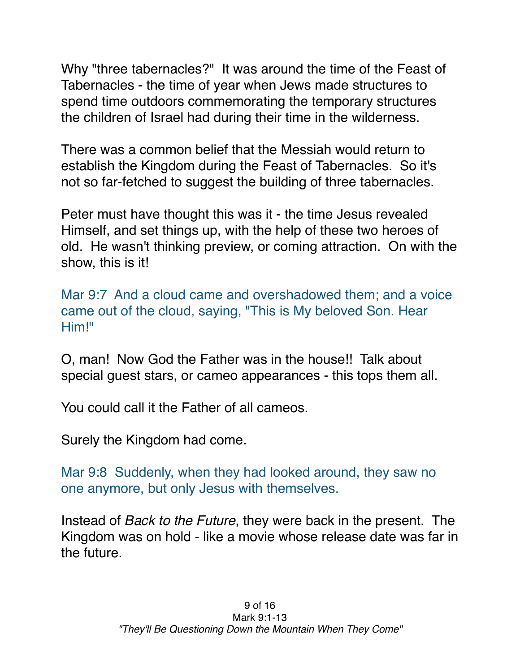Why "three tabernacles?" It was around the time of the Feast of Tabernacles - the time of year when Jews made structures to spend time outdoors commemorating the temporary structures the children of Israel had during their time in the wilderness.

There was a common belief that the Messiah would return to establish the Kingdom during the Feast of Tabernacles. So it's not so far-fetched to suggest the building of three tabernacles.

Peter must have thought this was it - the time Jesus revealed Himself, and set things up, with the help of these two heroes of old. He wasn't thinking preview, or coming attraction. On with the show, this is it!

Mar 9:7 And a cloud came and overshadowed them; and a voice came out of the cloud, saying, "This is My beloved Son. Hear Him!"

O, man! Now God the Father was in the house!! Talk about special guest stars, or cameo appearances - this tops them all.

You could call it the Father of all cameos.

Surely the Kingdom had come.

Mar 9:8 Suddenly, when they had looked around, they saw no one anymore, but only Jesus with themselves.

Instead of *Back to the Future*, they were back in the present. The Kingdom was on hold - like a movie whose release date was far in the future.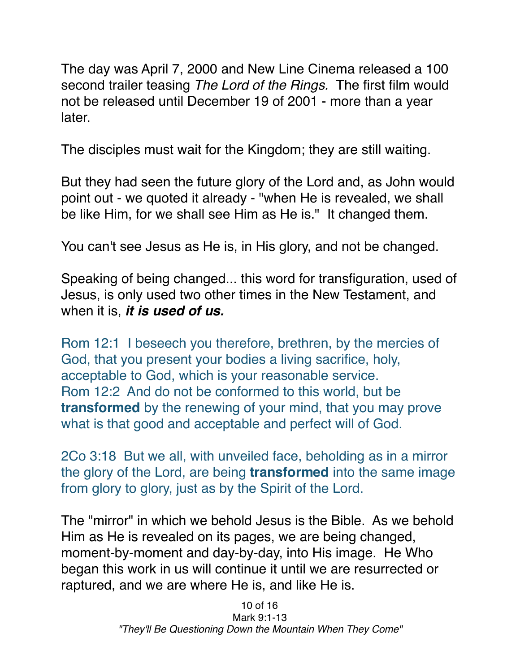The day was April 7, 2000 and New Line Cinema released a 100 second trailer teasing *The Lord of the Rings.* The first film would not be released until December 19 of 2001 - more than a year later.

The disciples must wait for the Kingdom; they are still waiting.

But they had seen the future glory of the Lord and, as John would point out - we quoted it already - "when He is revealed, we shall be like Him, for we shall see Him as He is." It changed them.

You can't see Jesus as He is, in His glory, and not be changed.

Speaking of being changed... this word for transfiguration, used of Jesus, is only used two other times in the New Testament, and when it is, *it is used of us.*

Rom 12:1 I beseech you therefore, brethren, by the mercies of God, that you present your bodies a living sacrifice, holy, acceptable to God, which is your reasonable service. Rom 12:2 And do not be conformed to this world, but be **transformed** by the renewing of your mind, that you may prove what is that good and acceptable and perfect will of God.

2Co 3:18 But we all, with unveiled face, beholding as in a mirror the glory of the Lord, are being **transformed** into the same image from glory to glory, just as by the Spirit of the Lord.

The "mirror" in which we behold Jesus is the Bible. As we behold Him as He is revealed on its pages, we are being changed, moment-by-moment and day-by-day, into His image. He Who began this work in us will continue it until we are resurrected or raptured, and we are where He is, and like He is.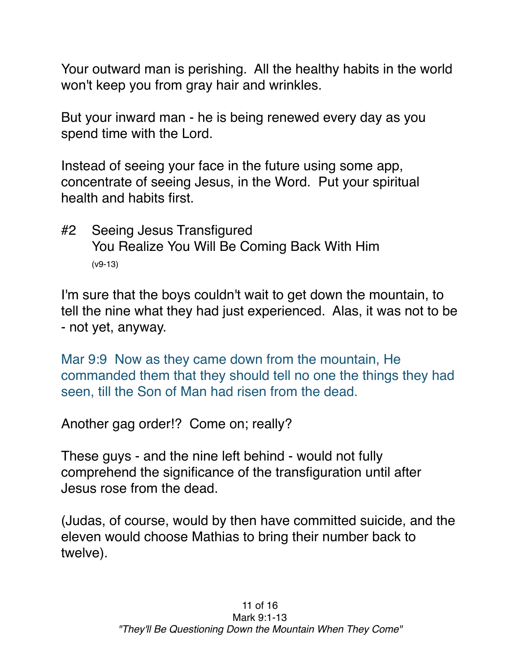Your outward man is perishing. All the healthy habits in the world won't keep you from gray hair and wrinkles.

But your inward man - he is being renewed every day as you spend time with the Lord.

Instead of seeing your face in the future using some app, concentrate of seeing Jesus, in the Word. Put your spiritual health and habits first.

#2 Seeing Jesus Transfigured You Realize You Will Be Coming Back With Him (v9-13)

I'm sure that the boys couldn't wait to get down the mountain, to tell the nine what they had just experienced. Alas, it was not to be - not yet, anyway.

Mar 9:9 Now as they came down from the mountain, He commanded them that they should tell no one the things they had seen, till the Son of Man had risen from the dead.

Another gag order!? Come on; really?

These guys - and the nine left behind - would not fully comprehend the significance of the transfiguration until after Jesus rose from the dead.

(Judas, of course, would by then have committed suicide, and the eleven would choose Mathias to bring their number back to twelve).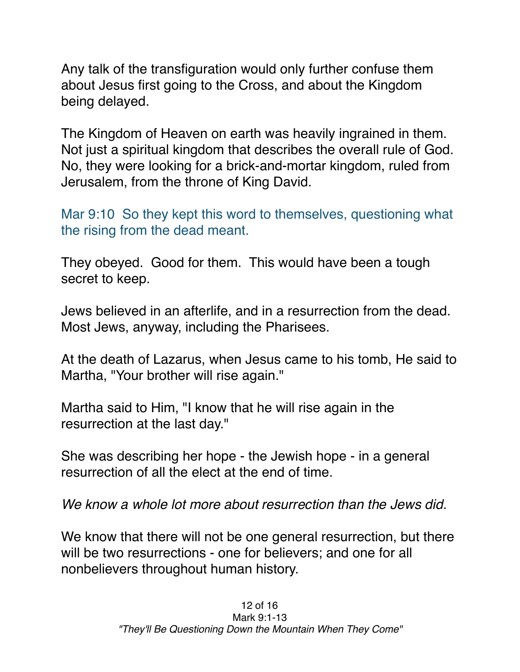Any talk of the transfiguration would only further confuse them about Jesus first going to the Cross, and about the Kingdom being delayed.

The Kingdom of Heaven on earth was heavily ingrained in them. Not just a spiritual kingdom that describes the overall rule of God. No, they were looking for a brick-and-mortar kingdom, ruled from Jerusalem, from the throne of King David.

Mar 9:10 So they kept this word to themselves, questioning what the rising from the dead meant.

They obeyed. Good for them. This would have been a tough secret to keep.

Jews believed in an afterlife, and in a resurrection from the dead. Most Jews, anyway, including the Pharisees.

At the death of Lazarus, when Jesus came to his tomb, He said to Martha, "Your brother will rise again."

Martha said to Him, "I know that he will rise again in the resurrection at the last day."

She was describing her hope - the Jewish hope - in a general resurrection of all the elect at the end of time.

*We know a whole lot more about resurrection than the Jews did.*

We know that there will not be one general resurrection, but there will be two resurrections - one for believers; and one for all nonbelievers throughout human history.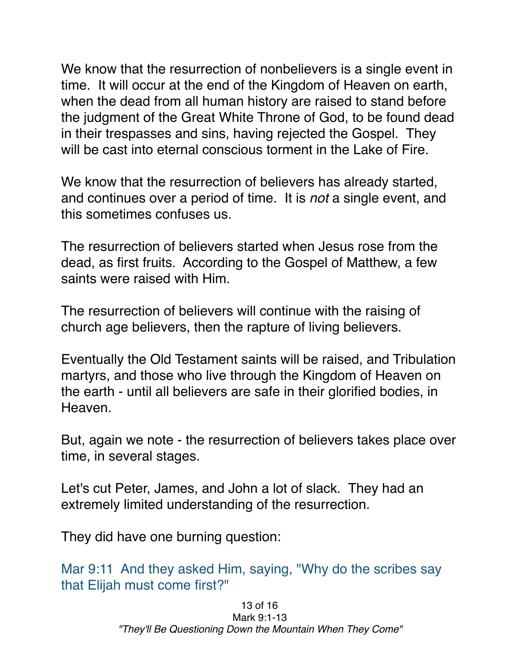We know that the resurrection of nonbelievers is a single event in time. It will occur at the end of the Kingdom of Heaven on earth, when the dead from all human history are raised to stand before the judgment of the Great White Throne of God, to be found dead in their trespasses and sins, having rejected the Gospel. They will be cast into eternal conscious torment in the Lake of Fire.

We know that the resurrection of believers has already started, and continues over a period of time. It is *not* a single event, and this sometimes confuses us.

The resurrection of believers started when Jesus rose from the dead, as first fruits. According to the Gospel of Matthew, a few saints were raised with Him.

The resurrection of believers will continue with the raising of church age believers, then the rapture of living believers.

Eventually the Old Testament saints will be raised, and Tribulation martyrs, and those who live through the Kingdom of Heaven on the earth - until all believers are safe in their glorified bodies, in Heaven.

But, again we note - the resurrection of believers takes place over time, in several stages.

Let's cut Peter, James, and John a lot of slack. They had an extremely limited understanding of the resurrection.

They did have one burning question:

Mar 9:11 And they asked Him, saying, "Why do the scribes say that Elijah must come first?"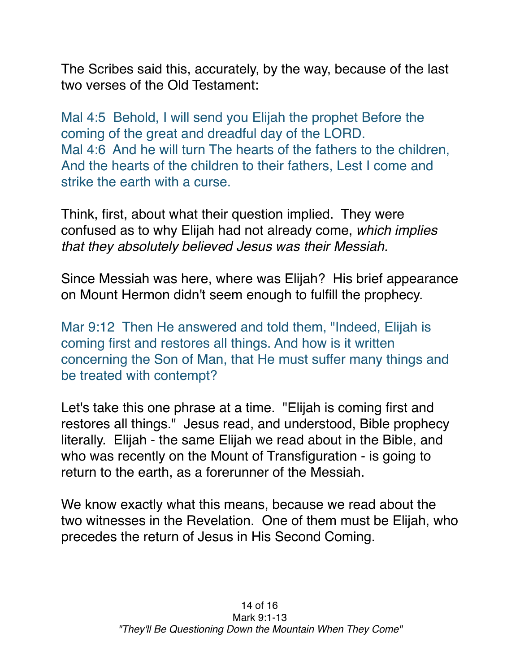The Scribes said this, accurately, by the way, because of the last two verses of the Old Testament:

Mal 4:5 Behold, I will send you Elijah the prophet Before the coming of the great and dreadful day of the LORD. Mal 4:6 And he will turn The hearts of the fathers to the children, And the hearts of the children to their fathers, Lest I come and strike the earth with a curse.

Think, first, about what their question implied. They were confused as to why Elijah had not already come, *which implies that they absolutely believed Jesus was their Messiah.*

Since Messiah was here, where was Elijah? His brief appearance on Mount Hermon didn't seem enough to fulfill the prophecy.

Mar 9:12 Then He answered and told them, "Indeed, Elijah is coming first and restores all things. And how is it written concerning the Son of Man, that He must suffer many things and be treated with contempt?

Let's take this one phrase at a time. "Elijah is coming first and restores all things." Jesus read, and understood, Bible prophecy literally. Elijah - the same Elijah we read about in the Bible, and who was recently on the Mount of Transfiguration - is going to return to the earth, as a forerunner of the Messiah.

We know exactly what this means, because we read about the two witnesses in the Revelation. One of them must be Elijah, who precedes the return of Jesus in His Second Coming.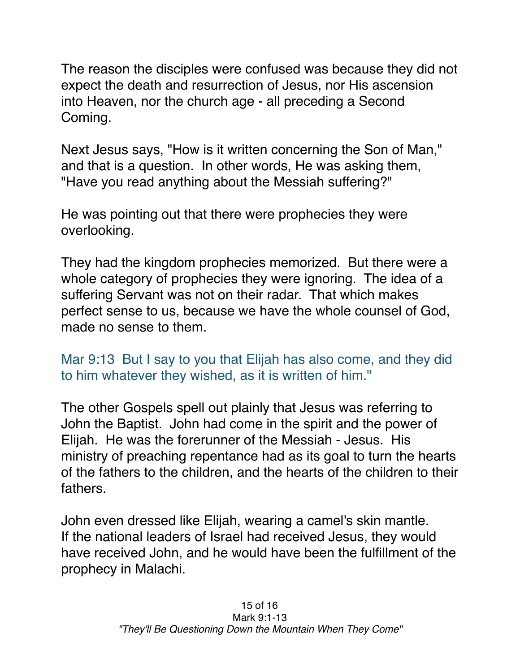The reason the disciples were confused was because they did not expect the death and resurrection of Jesus, nor His ascension into Heaven, nor the church age - all preceding a Second Coming.

Next Jesus says, "How is it written concerning the Son of Man," and that is a question. In other words, He was asking them, "Have you read anything about the Messiah suffering?"

He was pointing out that there were prophecies they were overlooking.

They had the kingdom prophecies memorized. But there were a whole category of prophecies they were ignoring. The idea of a suffering Servant was not on their radar. That which makes perfect sense to us, because we have the whole counsel of God, made no sense to them.

Mar 9:13 But I say to you that Elijah has also come, and they did to him whatever they wished, as it is written of him."

The other Gospels spell out plainly that Jesus was referring to John the Baptist. John had come in the spirit and the power of Elijah. He was the forerunner of the Messiah - Jesus. His ministry of preaching repentance had as its goal to turn the hearts of the fathers to the children, and the hearts of the children to their fathers.

John even dressed like Elijah, wearing a camel's skin mantle. If the national leaders of Israel had received Jesus, they would have received John, and he would have been the fulfillment of the prophecy in Malachi.